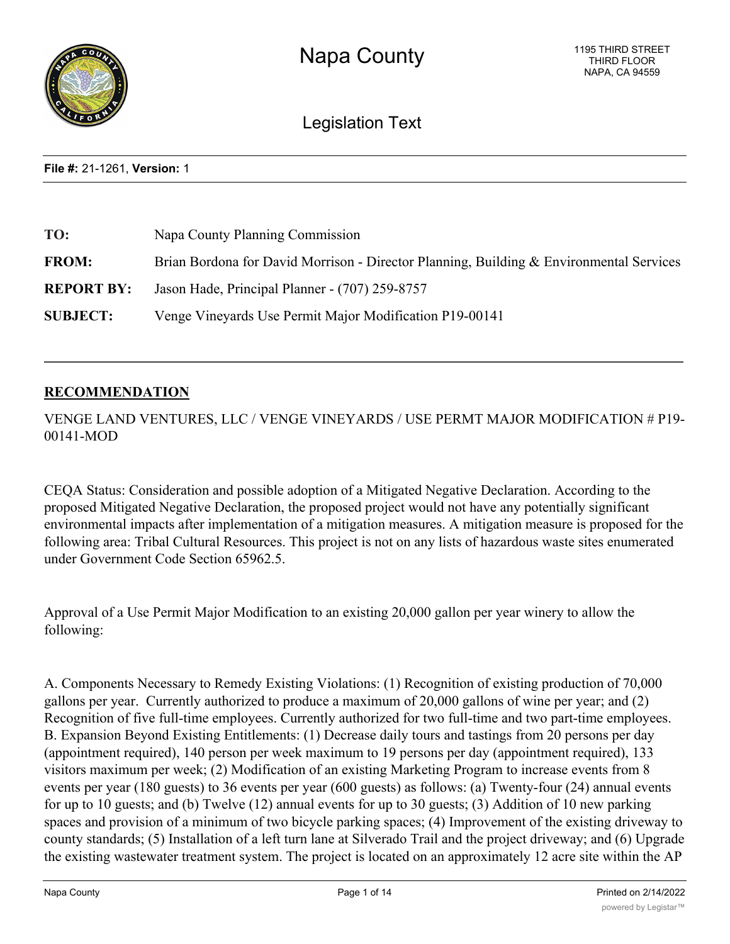

Legislation Text

**File #:** 21-1261, **Version:** 1

| TO:               | Napa County Planning Commission                                                         |
|-------------------|-----------------------------------------------------------------------------------------|
| <b>FROM:</b>      | Brian Bordona for David Morrison - Director Planning, Building & Environmental Services |
| <b>REPORT BY:</b> | Jason Hade, Principal Planner - (707) 259-8757                                          |
| <b>SUBJECT:</b>   | Venge Vineyards Use Permit Major Modification P19-00141                                 |

## **RECOMMENDATION**

VENGE LAND VENTURES, LLC / VENGE VINEYARDS / USE PERMT MAJOR MODIFICATION # P19- 00141-MOD

CEQA Status: Consideration and possible adoption of a Mitigated Negative Declaration. According to the proposed Mitigated Negative Declaration, the proposed project would not have any potentially significant environmental impacts after implementation of a mitigation measures. A mitigation measure is proposed for the following area: Tribal Cultural Resources. This project is not on any lists of hazardous waste sites enumerated under Government Code Section 65962.5.

Approval of a Use Permit Major Modification to an existing 20,000 gallon per year winery to allow the following:

A. Components Necessary to Remedy Existing Violations: (1) Recognition of existing production of 70,000 gallons per year. Currently authorized to produce a maximum of 20,000 gallons of wine per year; and (2) Recognition of five full-time employees. Currently authorized for two full-time and two part-time employees. B. Expansion Beyond Existing Entitlements: (1) Decrease daily tours and tastings from 20 persons per day (appointment required), 140 person per week maximum to 19 persons per day (appointment required), 133 visitors maximum per week; (2) Modification of an existing Marketing Program to increase events from 8 events per year (180 guests) to 36 events per year (600 guests) as follows: (a) Twenty-four (24) annual events for up to 10 guests; and (b) Twelve (12) annual events for up to 30 guests; (3) Addition of 10 new parking spaces and provision of a minimum of two bicycle parking spaces; (4) Improvement of the existing driveway to county standards; (5) Installation of a left turn lane at Silverado Trail and the project driveway; and (6) Upgrade the existing wastewater treatment system. The project is located on an approximately 12 acre site within the AP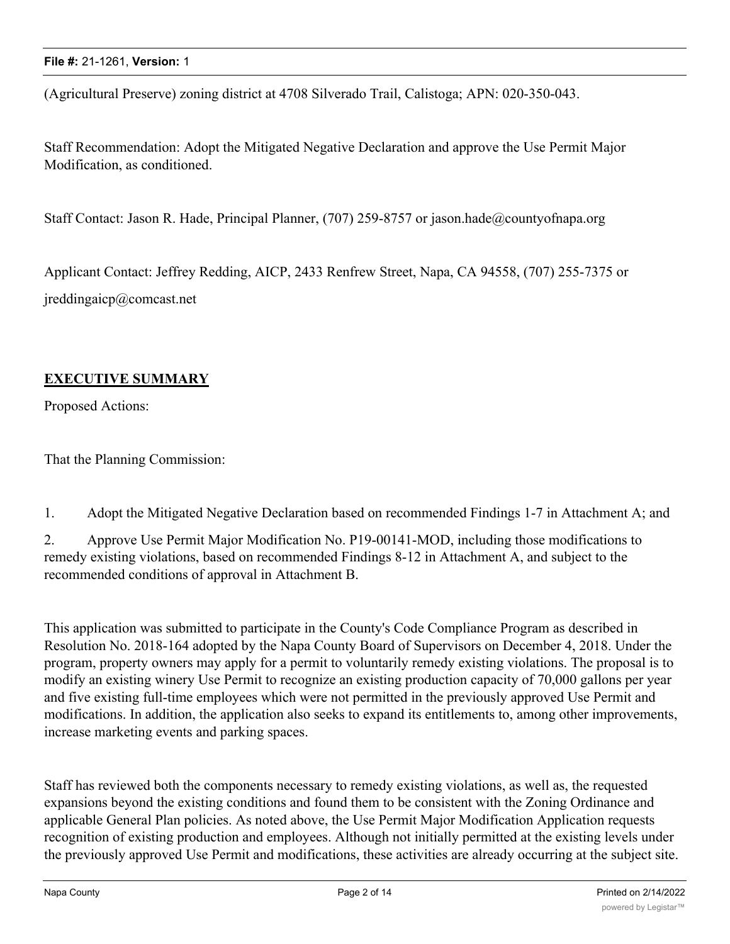(Agricultural Preserve) zoning district at 4708 Silverado Trail, Calistoga; APN: 020-350-043.

Staff Recommendation: Adopt the Mitigated Negative Declaration and approve the Use Permit Major Modification, as conditioned.

Staff Contact: Jason R. Hade, Principal Planner, (707) 259-8757 or jason.hade@countyofnapa.org

Applicant Contact: Jeffrey Redding, AICP, 2433 Renfrew Street, Napa, CA 94558, (707) 255-7375 or jreddingaicp@comcast.net

## **EXECUTIVE SUMMARY**

Proposed Actions:

That the Planning Commission:

1. Adopt the Mitigated Negative Declaration based on recommended Findings 1-7 in Attachment A; and

2. Approve Use Permit Major Modification No. P19-00141-MOD, including those modifications to remedy existing violations, based on recommended Findings 8-12 in Attachment A, and subject to the recommended conditions of approval in Attachment B.

This application was submitted to participate in the County's Code Compliance Program as described in Resolution No. 2018-164 adopted by the Napa County Board of Supervisors on December 4, 2018. Under the program, property owners may apply for a permit to voluntarily remedy existing violations. The proposal is to modify an existing winery Use Permit to recognize an existing production capacity of 70,000 gallons per year and five existing full-time employees which were not permitted in the previously approved Use Permit and modifications. In addition, the application also seeks to expand its entitlements to, among other improvements, increase marketing events and parking spaces.

Staff has reviewed both the components necessary to remedy existing violations, as well as, the requested expansions beyond the existing conditions and found them to be consistent with the Zoning Ordinance and applicable General Plan policies. As noted above, the Use Permit Major Modification Application requests recognition of existing production and employees. Although not initially permitted at the existing levels under the previously approved Use Permit and modifications, these activities are already occurring at the subject site.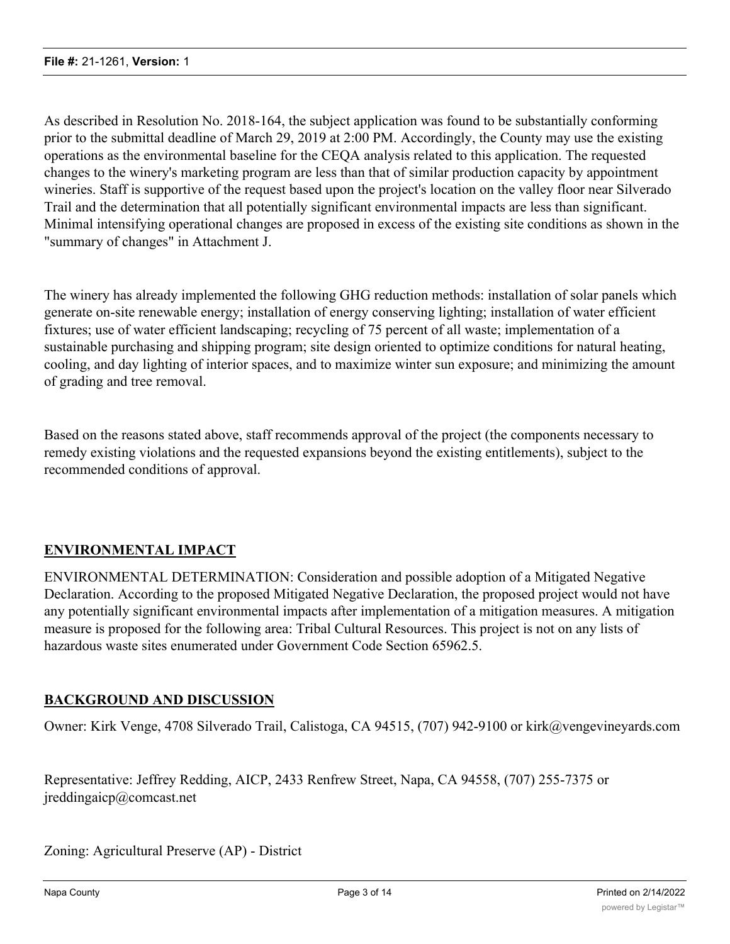As described in Resolution No. 2018-164, the subject application was found to be substantially conforming prior to the submittal deadline of March 29, 2019 at 2:00 PM. Accordingly, the County may use the existing operations as the environmental baseline for the CEQA analysis related to this application. The requested changes to the winery's marketing program are less than that of similar production capacity by appointment wineries. Staff is supportive of the request based upon the project's location on the valley floor near Silverado Trail and the determination that all potentially significant environmental impacts are less than significant. Minimal intensifying operational changes are proposed in excess of the existing site conditions as shown in the "summary of changes" in Attachment J.

The winery has already implemented the following GHG reduction methods: installation of solar panels which generate on-site renewable energy; installation of energy conserving lighting; installation of water efficient fixtures; use of water efficient landscaping; recycling of 75 percent of all waste; implementation of a sustainable purchasing and shipping program; site design oriented to optimize conditions for natural heating, cooling, and day lighting of interior spaces, and to maximize winter sun exposure; and minimizing the amount of grading and tree removal.

Based on the reasons stated above, staff recommends approval of the project (the components necessary to remedy existing violations and the requested expansions beyond the existing entitlements), subject to the recommended conditions of approval.

# **ENVIRONMENTAL IMPACT**

ENVIRONMENTAL DETERMINATION: Consideration and possible adoption of a Mitigated Negative Declaration. According to the proposed Mitigated Negative Declaration, the proposed project would not have any potentially significant environmental impacts after implementation of a mitigation measures. A mitigation measure is proposed for the following area: Tribal Cultural Resources. This project is not on any lists of hazardous waste sites enumerated under Government Code Section 65962.5.

## **BACKGROUND AND DISCUSSION**

Owner: Kirk Venge, 4708 Silverado Trail, Calistoga, CA 94515, (707) 942-9100 or kirk@vengevineyards.com

Representative: Jeffrey Redding, AICP, 2433 Renfrew Street, Napa, CA 94558, (707) 255-7375 or jreddingaicp@comcast.net

Zoning: Agricultural Preserve (AP) - District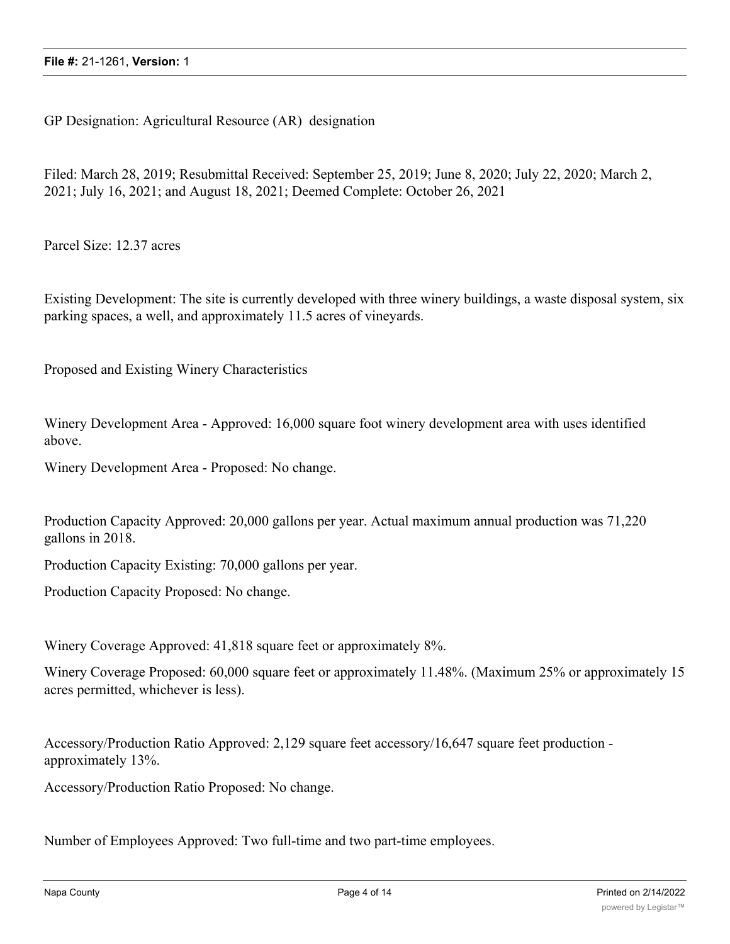GP Designation: Agricultural Resource (AR) designation

Filed: March 28, 2019; Resubmittal Received: September 25, 2019; June 8, 2020; July 22, 2020; March 2, 2021; July 16, 2021; and August 18, 2021; Deemed Complete: October 26, 2021

Parcel Size: 12.37 acres

Existing Development: The site is currently developed with three winery buildings, a waste disposal system, six parking spaces, a well, and approximately 11.5 acres of vineyards.

Proposed and Existing Winery Characteristics

Winery Development Area - Approved: 16,000 square foot winery development area with uses identified above.

Winery Development Area - Proposed: No change.

Production Capacity Approved: 20,000 gallons per year. Actual maximum annual production was 71,220 gallons in 2018.

Production Capacity Existing: 70,000 gallons per year.

Production Capacity Proposed: No change.

Winery Coverage Approved: 41,818 square feet or approximately 8%.

Winery Coverage Proposed: 60,000 square feet or approximately 11.48%. (Maximum 25% or approximately 15 acres permitted, whichever is less).

Accessory/Production Ratio Approved: 2,129 square feet accessory/16,647 square feet production approximately 13%.

Accessory/Production Ratio Proposed: No change.

Number of Employees Approved: Two full-time and two part-time employees.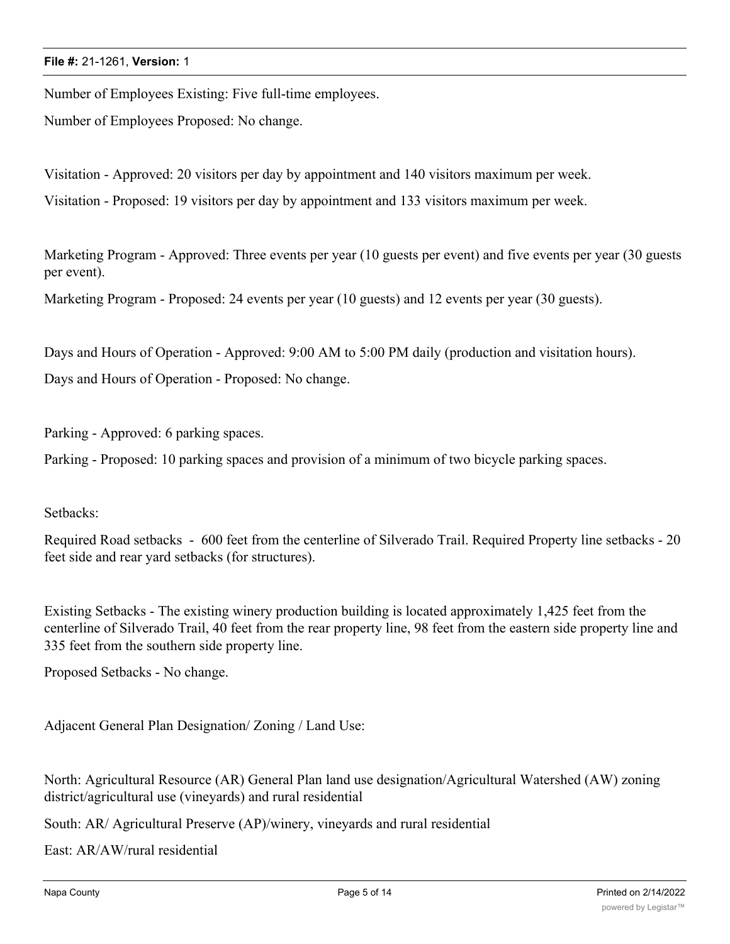Number of Employees Existing: Five full-time employees.

Number of Employees Proposed: No change.

Visitation - Approved: 20 visitors per day by appointment and 140 visitors maximum per week.

Visitation - Proposed: 19 visitors per day by appointment and 133 visitors maximum per week.

Marketing Program - Approved: Three events per year (10 guests per event) and five events per year (30 guests per event).

Marketing Program - Proposed: 24 events per year (10 guests) and 12 events per year (30 guests).

Days and Hours of Operation - Approved: 9:00 AM to 5:00 PM daily (production and visitation hours). Days and Hours of Operation - Proposed: No change.

Parking - Approved: 6 parking spaces.

Parking - Proposed: 10 parking spaces and provision of a minimum of two bicycle parking spaces.

#### Setbacks:

Required Road setbacks - 600 feet from the centerline of Silverado Trail. Required Property line setbacks - 20 feet side and rear yard setbacks (for structures).

Existing Setbacks - The existing winery production building is located approximately 1,425 feet from the centerline of Silverado Trail, 40 feet from the rear property line, 98 feet from the eastern side property line and 335 feet from the southern side property line.

Proposed Setbacks - No change.

Adjacent General Plan Designation/ Zoning / Land Use:

North: Agricultural Resource (AR) General Plan land use designation/Agricultural Watershed (AW) zoning district/agricultural use (vineyards) and rural residential

South: AR/ Agricultural Preserve (AP)/winery, vineyards and rural residential

East: AR/AW/rural residential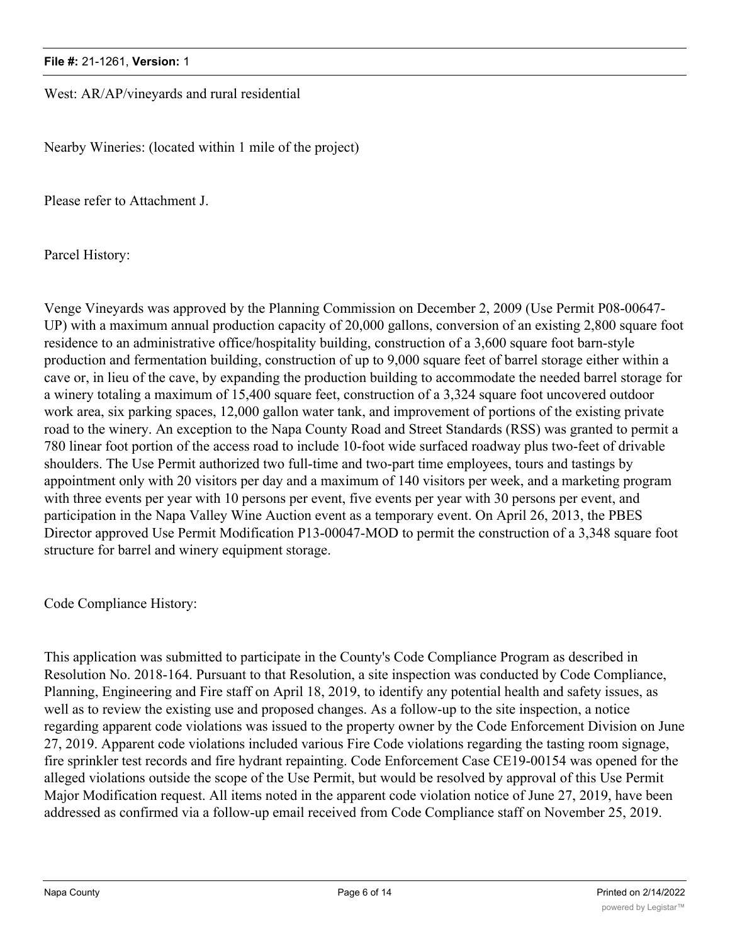West: AR/AP/vineyards and rural residential

Nearby Wineries: (located within 1 mile of the project)

Please refer to Attachment J.

Parcel History:

Venge Vineyards was approved by the Planning Commission on December 2, 2009 (Use Permit P08-00647- UP) with a maximum annual production capacity of 20,000 gallons, conversion of an existing 2,800 square foot residence to an administrative office/hospitality building, construction of a 3,600 square foot barn-style production and fermentation building, construction of up to 9,000 square feet of barrel storage either within a cave or, in lieu of the cave, by expanding the production building to accommodate the needed barrel storage for a winery totaling a maximum of 15,400 square feet, construction of a 3,324 square foot uncovered outdoor work area, six parking spaces, 12,000 gallon water tank, and improvement of portions of the existing private road to the winery. An exception to the Napa County Road and Street Standards (RSS) was granted to permit a 780 linear foot portion of the access road to include 10-foot wide surfaced roadway plus two-feet of drivable shoulders. The Use Permit authorized two full-time and two-part time employees, tours and tastings by appointment only with 20 visitors per day and a maximum of 140 visitors per week, and a marketing program with three events per year with 10 persons per event, five events per year with 30 persons per event, and participation in the Napa Valley Wine Auction event as a temporary event. On April 26, 2013, the PBES Director approved Use Permit Modification P13-00047-MOD to permit the construction of a 3,348 square foot structure for barrel and winery equipment storage.

Code Compliance History:

This application was submitted to participate in the County's Code Compliance Program as described in Resolution No. 2018-164. Pursuant to that Resolution, a site inspection was conducted by Code Compliance, Planning, Engineering and Fire staff on April 18, 2019, to identify any potential health and safety issues, as well as to review the existing use and proposed changes. As a follow-up to the site inspection, a notice regarding apparent code violations was issued to the property owner by the Code Enforcement Division on June 27, 2019. Apparent code violations included various Fire Code violations regarding the tasting room signage, fire sprinkler test records and fire hydrant repainting. Code Enforcement Case CE19-00154 was opened for the alleged violations outside the scope of the Use Permit, but would be resolved by approval of this Use Permit Major Modification request. All items noted in the apparent code violation notice of June 27, 2019, have been addressed as confirmed via a follow-up email received from Code Compliance staff on November 25, 2019.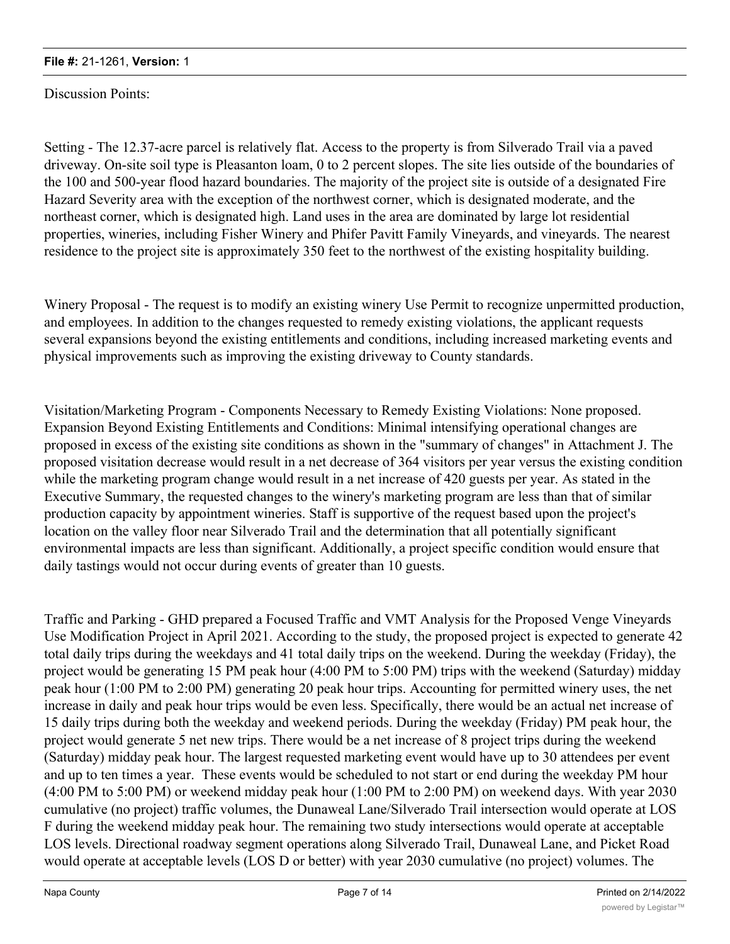Discussion Points:

Setting - The 12.37-acre parcel is relatively flat. Access to the property is from Silverado Trail via a paved driveway. On-site soil type is Pleasanton loam, 0 to 2 percent slopes. The site lies outside of the boundaries of the 100 and 500-year flood hazard boundaries. The majority of the project site is outside of a designated Fire Hazard Severity area with the exception of the northwest corner, which is designated moderate, and the northeast corner, which is designated high. Land uses in the area are dominated by large lot residential properties, wineries, including Fisher Winery and Phifer Pavitt Family Vineyards, and vineyards. The nearest residence to the project site is approximately 350 feet to the northwest of the existing hospitality building.

Winery Proposal - The request is to modify an existing winery Use Permit to recognize unpermitted production, and employees. In addition to the changes requested to remedy existing violations, the applicant requests several expansions beyond the existing entitlements and conditions, including increased marketing events and physical improvements such as improving the existing driveway to County standards.

Visitation/Marketing Program - Components Necessary to Remedy Existing Violations: None proposed. Expansion Beyond Existing Entitlements and Conditions: Minimal intensifying operational changes are proposed in excess of the existing site conditions as shown in the "summary of changes" in Attachment J. The proposed visitation decrease would result in a net decrease of 364 visitors per year versus the existing condition while the marketing program change would result in a net increase of 420 guests per year. As stated in the Executive Summary, the requested changes to the winery's marketing program are less than that of similar production capacity by appointment wineries. Staff is supportive of the request based upon the project's location on the valley floor near Silverado Trail and the determination that all potentially significant environmental impacts are less than significant. Additionally, a project specific condition would ensure that daily tastings would not occur during events of greater than 10 guests.

Traffic and Parking - GHD prepared a Focused Traffic and VMT Analysis for the Proposed Venge Vineyards Use Modification Project in April 2021. According to the study, the proposed project is expected to generate 42 total daily trips during the weekdays and 41 total daily trips on the weekend. During the weekday (Friday), the project would be generating 15 PM peak hour (4:00 PM to 5:00 PM) trips with the weekend (Saturday) midday peak hour (1:00 PM to 2:00 PM) generating 20 peak hour trips. Accounting for permitted winery uses, the net increase in daily and peak hour trips would be even less. Specifically, there would be an actual net increase of 15 daily trips during both the weekday and weekend periods. During the weekday (Friday) PM peak hour, the project would generate 5 net new trips. There would be a net increase of 8 project trips during the weekend (Saturday) midday peak hour. The largest requested marketing event would have up to 30 attendees per event and up to ten times a year. These events would be scheduled to not start or end during the weekday PM hour (4:00 PM to 5:00 PM) or weekend midday peak hour (1:00 PM to 2:00 PM) on weekend days. With year 2030 cumulative (no project) traffic volumes, the Dunaweal Lane/Silverado Trail intersection would operate at LOS F during the weekend midday peak hour. The remaining two study intersections would operate at acceptable LOS levels. Directional roadway segment operations along Silverado Trail, Dunaweal Lane, and Picket Road would operate at acceptable levels (LOS D or better) with year 2030 cumulative (no project) volumes. The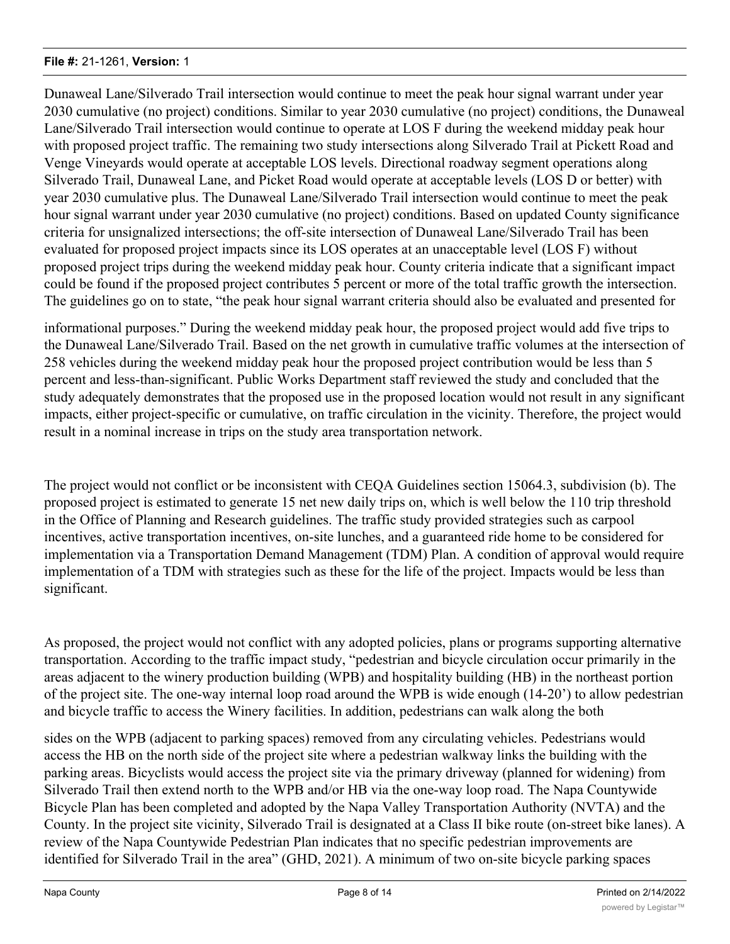Dunaweal Lane/Silverado Trail intersection would continue to meet the peak hour signal warrant under year 2030 cumulative (no project) conditions. Similar to year 2030 cumulative (no project) conditions, the Dunaweal Lane/Silverado Trail intersection would continue to operate at LOS F during the weekend midday peak hour with proposed project traffic. The remaining two study intersections along Silverado Trail at Pickett Road and Venge Vineyards would operate at acceptable LOS levels. Directional roadway segment operations along Silverado Trail, Dunaweal Lane, and Picket Road would operate at acceptable levels (LOS D or better) with year 2030 cumulative plus. The Dunaweal Lane/Silverado Trail intersection would continue to meet the peak hour signal warrant under year 2030 cumulative (no project) conditions. Based on updated County significance criteria for unsignalized intersections; the off-site intersection of Dunaweal Lane/Silverado Trail has been evaluated for proposed project impacts since its LOS operates at an unacceptable level (LOS F) without proposed project trips during the weekend midday peak hour. County criteria indicate that a significant impact could be found if the proposed project contributes 5 percent or more of the total traffic growth the intersection. The guidelines go on to state, "the peak hour signal warrant criteria should also be evaluated and presented for

informational purposes." During the weekend midday peak hour, the proposed project would add five trips to the Dunaweal Lane/Silverado Trail. Based on the net growth in cumulative traffic volumes at the intersection of 258 vehicles during the weekend midday peak hour the proposed project contribution would be less than 5 percent and less-than-significant. Public Works Department staff reviewed the study and concluded that the study adequately demonstrates that the proposed use in the proposed location would not result in any significant impacts, either project-specific or cumulative, on traffic circulation in the vicinity. Therefore, the project would result in a nominal increase in trips on the study area transportation network.

The project would not conflict or be inconsistent with CEQA Guidelines section 15064.3, subdivision (b). The proposed project is estimated to generate 15 net new daily trips on, which is well below the 110 trip threshold in the Office of Planning and Research guidelines. The traffic study provided strategies such as carpool incentives, active transportation incentives, on-site lunches, and a guaranteed ride home to be considered for implementation via a Transportation Demand Management (TDM) Plan. A condition of approval would require implementation of a TDM with strategies such as these for the life of the project. Impacts would be less than significant.

As proposed, the project would not conflict with any adopted policies, plans or programs supporting alternative transportation. According to the traffic impact study, "pedestrian and bicycle circulation occur primarily in the areas adjacent to the winery production building (WPB) and hospitality building (HB) in the northeast portion of the project site. The one-way internal loop road around the WPB is wide enough (14-20') to allow pedestrian and bicycle traffic to access the Winery facilities. In addition, pedestrians can walk along the both

sides on the WPB (adjacent to parking spaces) removed from any circulating vehicles. Pedestrians would access the HB on the north side of the project site where a pedestrian walkway links the building with the parking areas. Bicyclists would access the project site via the primary driveway (planned for widening) from Silverado Trail then extend north to the WPB and/or HB via the one-way loop road. The Napa Countywide Bicycle Plan has been completed and adopted by the Napa Valley Transportation Authority (NVTA) and the County. In the project site vicinity, Silverado Trail is designated at a Class II bike route (on-street bike lanes). A review of the Napa Countywide Pedestrian Plan indicates that no specific pedestrian improvements are identified for Silverado Trail in the area" (GHD, 2021). A minimum of two on-site bicycle parking spaces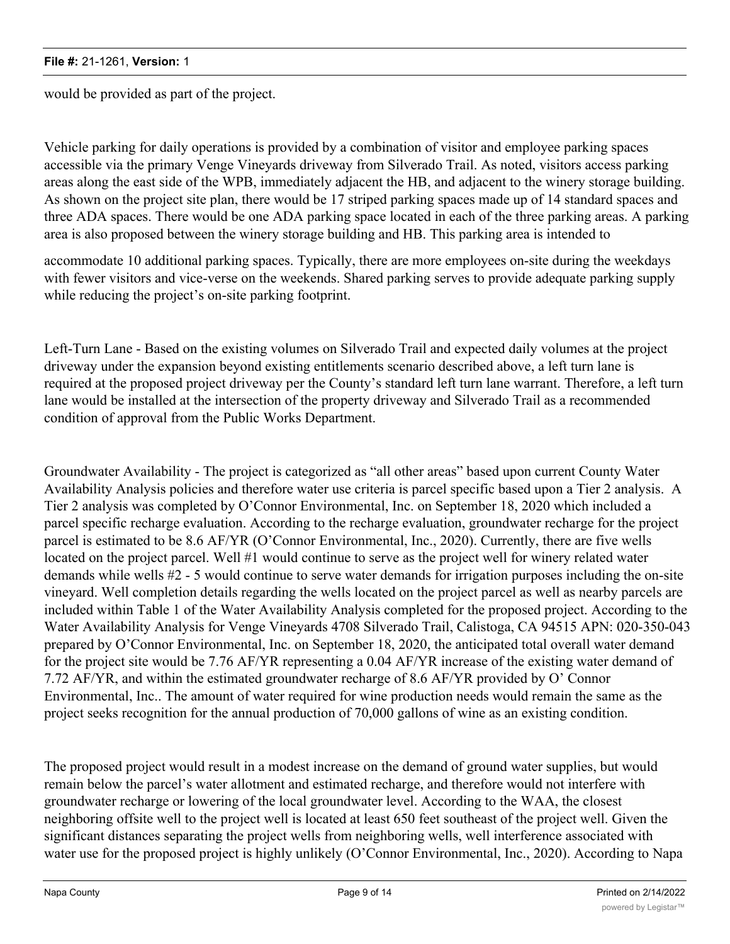would be provided as part of the project.

Vehicle parking for daily operations is provided by a combination of visitor and employee parking spaces accessible via the primary Venge Vineyards driveway from Silverado Trail. As noted, visitors access parking areas along the east side of the WPB, immediately adjacent the HB, and adjacent to the winery storage building. As shown on the project site plan, there would be 17 striped parking spaces made up of 14 standard spaces and three ADA spaces. There would be one ADA parking space located in each of the three parking areas. A parking area is also proposed between the winery storage building and HB. This parking area is intended to

accommodate 10 additional parking spaces. Typically, there are more employees on-site during the weekdays with fewer visitors and vice-verse on the weekends. Shared parking serves to provide adequate parking supply while reducing the project's on-site parking footprint.

Left-Turn Lane - Based on the existing volumes on Silverado Trail and expected daily volumes at the project driveway under the expansion beyond existing entitlements scenario described above, a left turn lane is required at the proposed project driveway per the County's standard left turn lane warrant. Therefore, a left turn lane would be installed at the intersection of the property driveway and Silverado Trail as a recommended condition of approval from the Public Works Department.

Groundwater Availability - The project is categorized as "all other areas" based upon current County Water Availability Analysis policies and therefore water use criteria is parcel specific based upon a Tier 2 analysis. A Tier 2 analysis was completed by O'Connor Environmental, Inc. on September 18, 2020 which included a parcel specific recharge evaluation. According to the recharge evaluation, groundwater recharge for the project parcel is estimated to be 8.6 AF/YR (O'Connor Environmental, Inc., 2020). Currently, there are five wells located on the project parcel. Well #1 would continue to serve as the project well for winery related water demands while wells #2 - 5 would continue to serve water demands for irrigation purposes including the on-site vineyard. Well completion details regarding the wells located on the project parcel as well as nearby parcels are included within Table 1 of the Water Availability Analysis completed for the proposed project. According to the Water Availability Analysis for Venge Vineyards 4708 Silverado Trail, Calistoga, CA 94515 APN: 020-350-043 prepared by O'Connor Environmental, Inc. on September 18, 2020, the anticipated total overall water demand for the project site would be 7.76 AF/YR representing a 0.04 AF/YR increase of the existing water demand of 7.72 AF/YR, and within the estimated groundwater recharge of 8.6 AF/YR provided by O' Connor Environmental, Inc.. The amount of water required for wine production needs would remain the same as the project seeks recognition for the annual production of 70,000 gallons of wine as an existing condition.

The proposed project would result in a modest increase on the demand of ground water supplies, but would remain below the parcel's water allotment and estimated recharge, and therefore would not interfere with groundwater recharge or lowering of the local groundwater level. According to the WAA, the closest neighboring offsite well to the project well is located at least 650 feet southeast of the project well. Given the significant distances separating the project wells from neighboring wells, well interference associated with water use for the proposed project is highly unlikely (O'Connor Environmental, Inc., 2020). According to Napa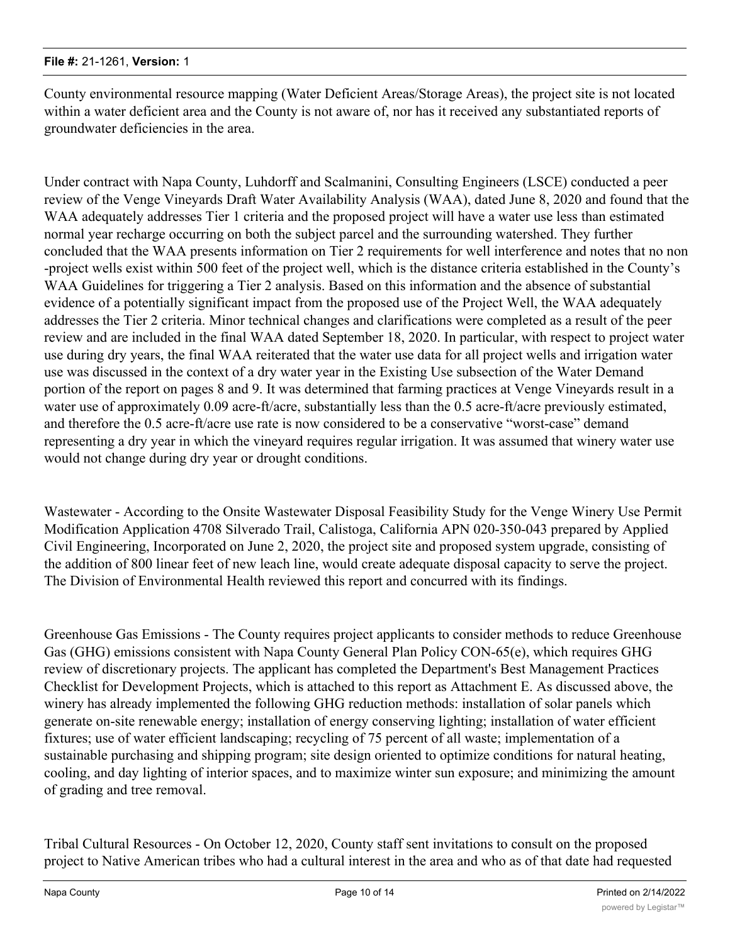County environmental resource mapping (Water Deficient Areas/Storage Areas), the project site is not located within a water deficient area and the County is not aware of, nor has it received any substantiated reports of groundwater deficiencies in the area.

Under contract with Napa County, Luhdorff and Scalmanini, Consulting Engineers (LSCE) conducted a peer review of the Venge Vineyards Draft Water Availability Analysis (WAA), dated June 8, 2020 and found that the WAA adequately addresses Tier 1 criteria and the proposed project will have a water use less than estimated normal year recharge occurring on both the subject parcel and the surrounding watershed. They further concluded that the WAA presents information on Tier 2 requirements for well interference and notes that no non -project wells exist within 500 feet of the project well, which is the distance criteria established in the County's WAA Guidelines for triggering a Tier 2 analysis. Based on this information and the absence of substantial evidence of a potentially significant impact from the proposed use of the Project Well, the WAA adequately addresses the Tier 2 criteria. Minor technical changes and clarifications were completed as a result of the peer review and are included in the final WAA dated September 18, 2020. In particular, with respect to project water use during dry years, the final WAA reiterated that the water use data for all project wells and irrigation water use was discussed in the context of a dry water year in the Existing Use subsection of the Water Demand portion of the report on pages 8 and 9. It was determined that farming practices at Venge Vineyards result in a water use of approximately 0.09 acre-ft/acre, substantially less than the 0.5 acre-ft/acre previously estimated, and therefore the 0.5 acre-ft/acre use rate is now considered to be a conservative "worst-case" demand representing a dry year in which the vineyard requires regular irrigation. It was assumed that winery water use would not change during dry year or drought conditions.

Wastewater - According to the Onsite Wastewater Disposal Feasibility Study for the Venge Winery Use Permit Modification Application 4708 Silverado Trail, Calistoga, California APN 020-350-043 prepared by Applied Civil Engineering, Incorporated on June 2, 2020, the project site and proposed system upgrade, consisting of the addition of 800 linear feet of new leach line, would create adequate disposal capacity to serve the project. The Division of Environmental Health reviewed this report and concurred with its findings.

Greenhouse Gas Emissions - The County requires project applicants to consider methods to reduce Greenhouse Gas (GHG) emissions consistent with Napa County General Plan Policy CON-65(e), which requires GHG review of discretionary projects. The applicant has completed the Department's Best Management Practices Checklist for Development Projects, which is attached to this report as Attachment E. As discussed above, the winery has already implemented the following GHG reduction methods: installation of solar panels which generate on-site renewable energy; installation of energy conserving lighting; installation of water efficient fixtures; use of water efficient landscaping; recycling of 75 percent of all waste; implementation of a sustainable purchasing and shipping program; site design oriented to optimize conditions for natural heating, cooling, and day lighting of interior spaces, and to maximize winter sun exposure; and minimizing the amount of grading and tree removal.

Tribal Cultural Resources - On October 12, 2020, County staff sent invitations to consult on the proposed project to Native American tribes who had a cultural interest in the area and who as of that date had requested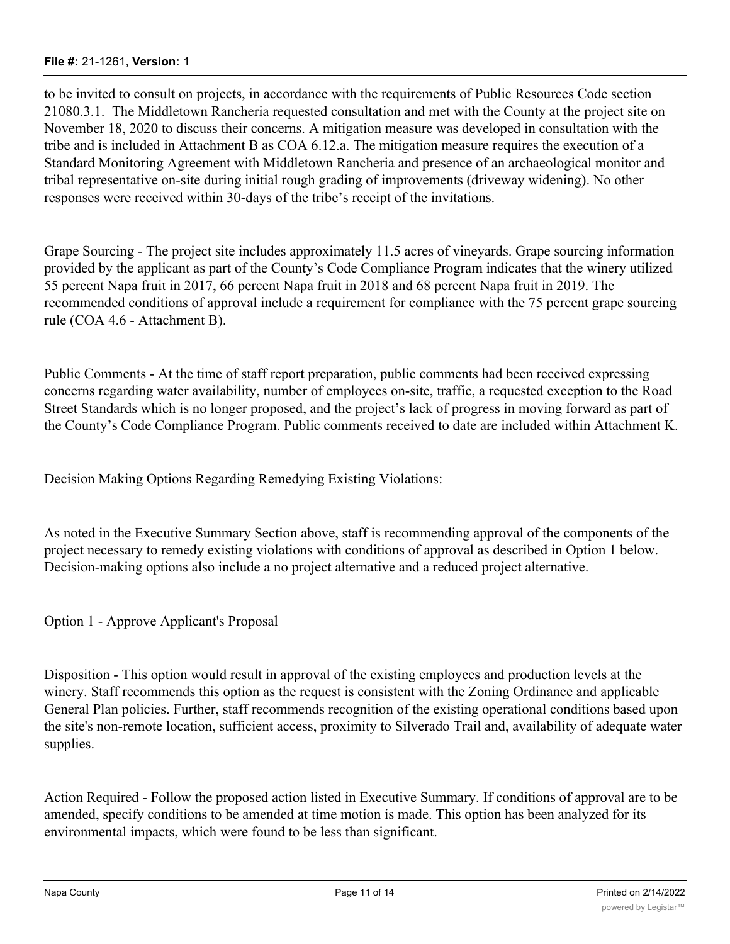to be invited to consult on projects, in accordance with the requirements of Public Resources Code section 21080.3.1. The Middletown Rancheria requested consultation and met with the County at the project site on November 18, 2020 to discuss their concerns. A mitigation measure was developed in consultation with the tribe and is included in Attachment B as COA 6.12.a. The mitigation measure requires the execution of a Standard Monitoring Agreement with Middletown Rancheria and presence of an archaeological monitor and tribal representative on-site during initial rough grading of improvements (driveway widening). No other responses were received within 30-days of the tribe's receipt of the invitations.

Grape Sourcing - The project site includes approximately 11.5 acres of vineyards. Grape sourcing information provided by the applicant as part of the County's Code Compliance Program indicates that the winery utilized 55 percent Napa fruit in 2017, 66 percent Napa fruit in 2018 and 68 percent Napa fruit in 2019. The recommended conditions of approval include a requirement for compliance with the 75 percent grape sourcing rule (COA 4.6 - Attachment B).

Public Comments - At the time of staff report preparation, public comments had been received expressing concerns regarding water availability, number of employees on-site, traffic, a requested exception to the Road Street Standards which is no longer proposed, and the project's lack of progress in moving forward as part of the County's Code Compliance Program. Public comments received to date are included within Attachment K.

Decision Making Options Regarding Remedying Existing Violations:

As noted in the Executive Summary Section above, staff is recommending approval of the components of the project necessary to remedy existing violations with conditions of approval as described in Option 1 below. Decision-making options also include a no project alternative and a reduced project alternative.

Option 1 - Approve Applicant's Proposal

Disposition - This option would result in approval of the existing employees and production levels at the winery. Staff recommends this option as the request is consistent with the Zoning Ordinance and applicable General Plan policies. Further, staff recommends recognition of the existing operational conditions based upon the site's non-remote location, sufficient access, proximity to Silverado Trail and, availability of adequate water supplies.

Action Required - Follow the proposed action listed in Executive Summary. If conditions of approval are to be amended, specify conditions to be amended at time motion is made. This option has been analyzed for its environmental impacts, which were found to be less than significant.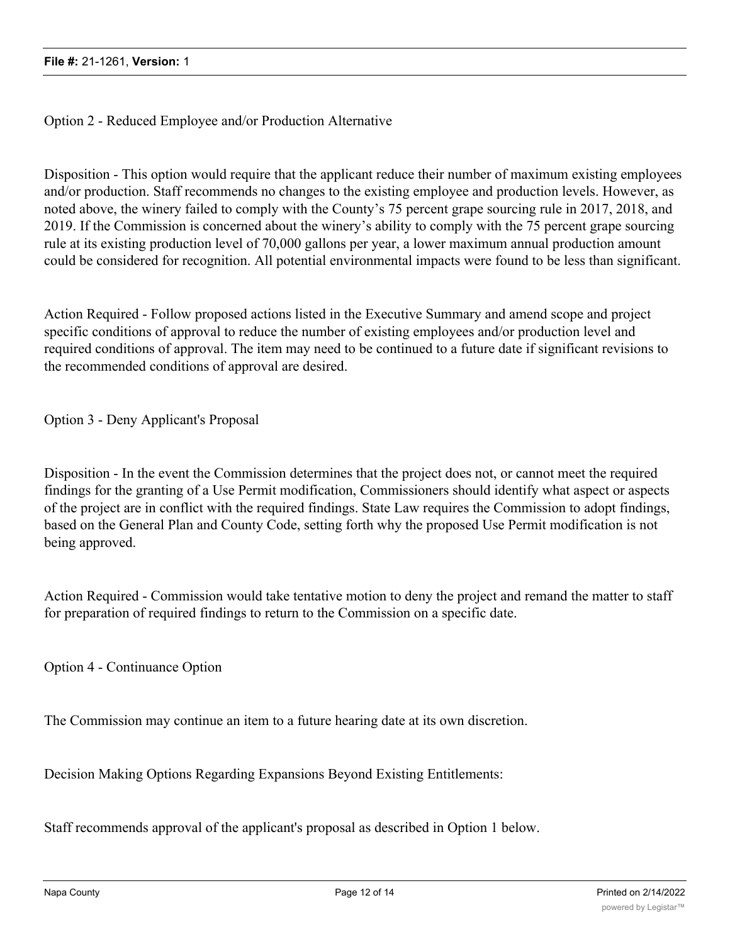Option 2 - Reduced Employee and/or Production Alternative

Disposition - This option would require that the applicant reduce their number of maximum existing employees and/or production. Staff recommends no changes to the existing employee and production levels. However, as noted above, the winery failed to comply with the County's 75 percent grape sourcing rule in 2017, 2018, and 2019. If the Commission is concerned about the winery's ability to comply with the 75 percent grape sourcing rule at its existing production level of 70,000 gallons per year, a lower maximum annual production amount could be considered for recognition. All potential environmental impacts were found to be less than significant.

Action Required - Follow proposed actions listed in the Executive Summary and amend scope and project specific conditions of approval to reduce the number of existing employees and/or production level and required conditions of approval. The item may need to be continued to a future date if significant revisions to the recommended conditions of approval are desired.

Option 3 - Deny Applicant's Proposal

Disposition - In the event the Commission determines that the project does not, or cannot meet the required findings for the granting of a Use Permit modification, Commissioners should identify what aspect or aspects of the project are in conflict with the required findings. State Law requires the Commission to adopt findings, based on the General Plan and County Code, setting forth why the proposed Use Permit modification is not being approved.

Action Required - Commission would take tentative motion to deny the project and remand the matter to staff for preparation of required findings to return to the Commission on a specific date.

Option 4 - Continuance Option

The Commission may continue an item to a future hearing date at its own discretion.

Decision Making Options Regarding Expansions Beyond Existing Entitlements:

Staff recommends approval of the applicant's proposal as described in Option 1 below.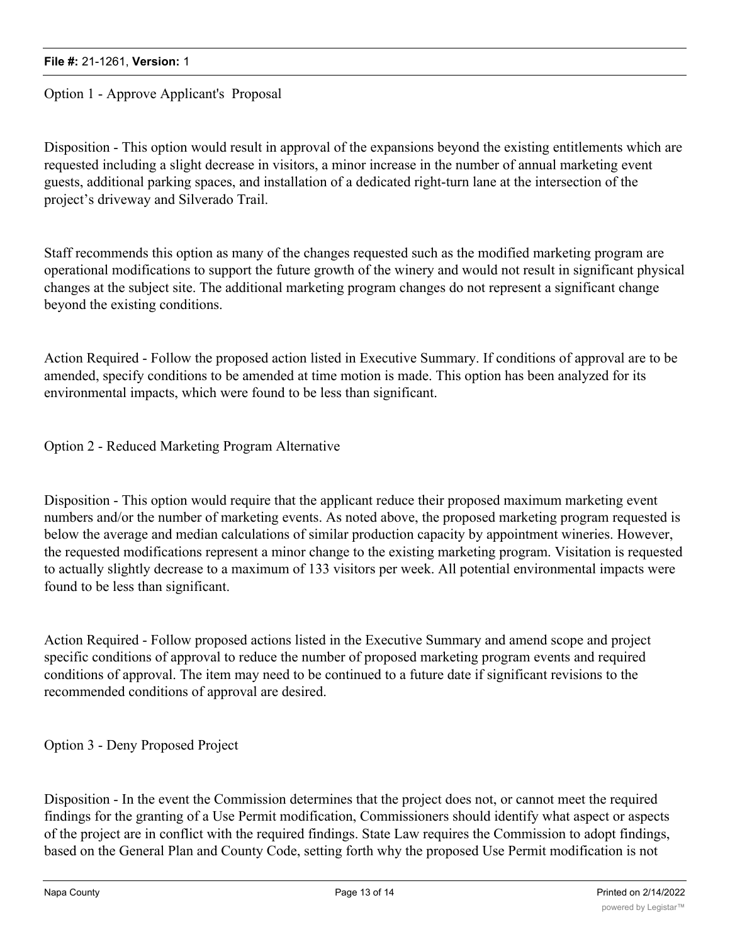Option 1 - Approve Applicant's Proposal

Disposition - This option would result in approval of the expansions beyond the existing entitlements which are requested including a slight decrease in visitors, a minor increase in the number of annual marketing event guests, additional parking spaces, and installation of a dedicated right-turn lane at the intersection of the project's driveway and Silverado Trail.

Staff recommends this option as many of the changes requested such as the modified marketing program are operational modifications to support the future growth of the winery and would not result in significant physical changes at the subject site. The additional marketing program changes do not represent a significant change beyond the existing conditions.

Action Required - Follow the proposed action listed in Executive Summary. If conditions of approval are to be amended, specify conditions to be amended at time motion is made. This option has been analyzed for its environmental impacts, which were found to be less than significant.

Option 2 - Reduced Marketing Program Alternative

Disposition - This option would require that the applicant reduce their proposed maximum marketing event numbers and/or the number of marketing events. As noted above, the proposed marketing program requested is below the average and median calculations of similar production capacity by appointment wineries. However, the requested modifications represent a minor change to the existing marketing program. Visitation is requested to actually slightly decrease to a maximum of 133 visitors per week. All potential environmental impacts were found to be less than significant.

Action Required - Follow proposed actions listed in the Executive Summary and amend scope and project specific conditions of approval to reduce the number of proposed marketing program events and required conditions of approval. The item may need to be continued to a future date if significant revisions to the recommended conditions of approval are desired.

Option 3 - Deny Proposed Project

Disposition - In the event the Commission determines that the project does not, or cannot meet the required findings for the granting of a Use Permit modification, Commissioners should identify what aspect or aspects of the project are in conflict with the required findings. State Law requires the Commission to adopt findings, based on the General Plan and County Code, setting forth why the proposed Use Permit modification is not